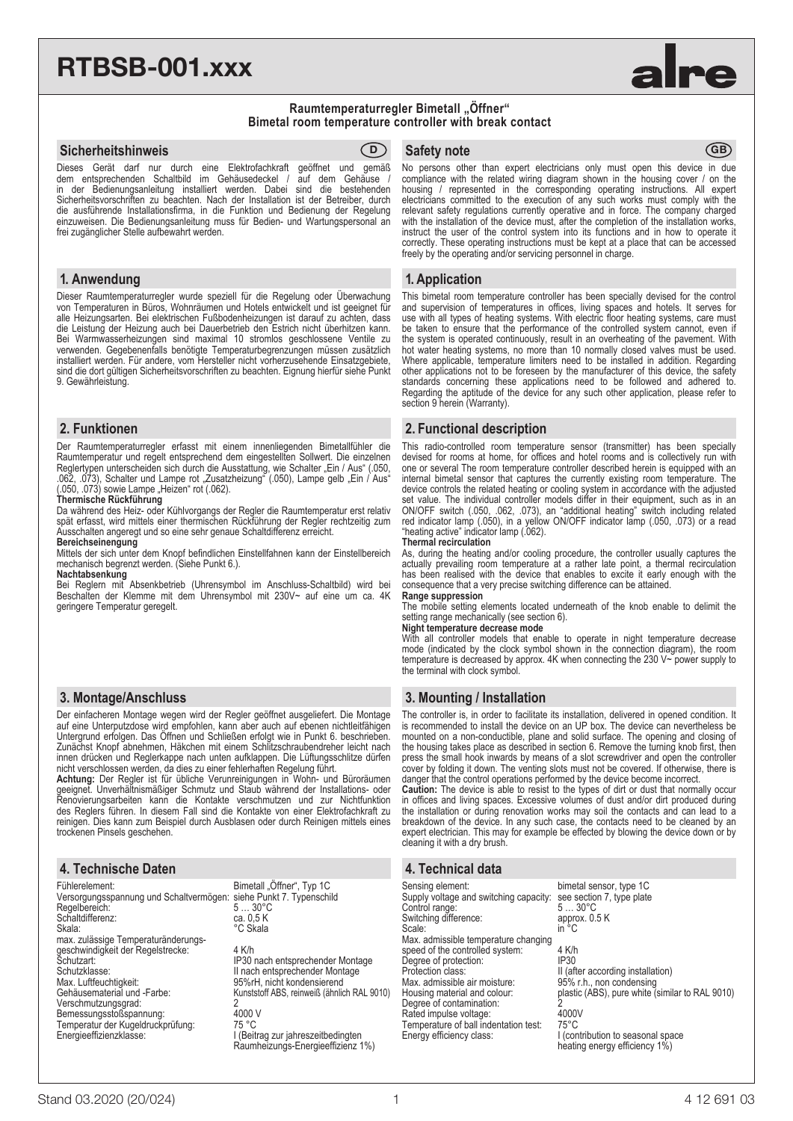# RTBSB-001.xxx



#### **Raumtemperaturregler Bimetall "Öffner" Bimetal room temperature controller with break contact**

#### **Sicherheitshinweis** GB **Safety note** GB **Safety note** GB

Dieses Gerät darf nur durch eine Elektrofachkraft geöffnet und gemäß<br>dem entsprechenden Schaltbild im Gehäusedeckel / auf dem Gehäuse / dem entsprechenden Schaltbild im Gehäusedeckel / auf dem Gehäuse /<br>in der Bedienungsanleitung installiert werden. Dabei sind die bestehenden der Bedienungsanleitung installiert werden. Dabei sind die Sicherheitsvorschriften zu beachten. Nach der Installation ist der Betreiber, durch die ausführende Installationsfirma, in die Funktion und Bedienung der Regelung einzuweisen. Die Bedienungsanleitung muss für Bedien- und Wartungspersonal an frei zugänglicher Stelle aufbewahrt werden.

#### **1. Anwendung**

Dieser Raumtemperaturregler wurde speziell für die Regelung oder Überwachung von Temperaturen in Büros, Wohnräumen und Hotels entwickelt und ist geeignet für alle Heizungsarten. Bei elektrischen Fußbodenheizungen ist darauf zu achten, dass die Leistung der Heizung auch bei Dauerbetrieb den Estrich nicht überhitzen kann. Bei Warmwasserheizungen sind maximal 10 stromlos geschlossene Ventile zu verwenden. Gegebenenfalls benötigte Temperaturbegrenzungen müssen zusätzlich installiert werden. Für andere, vom Hersteller nicht vorherzusehende Einsatzgebiete, sind die dort gültigen Sicherheitsvorschriften zu beachten. Eignung hierfür siehe Punkt 9. Gewährleistung.

#### **2. Funktionen**

Der Raumtemperaturregler erfasst mit einem innenliegenden Bimetallfühler die Raumtemperatur und regelt entsprechend dem eingestellten Sollwert. Die einzelnen Reglertypen unterscheiden sich durch die Ausstattung, wie Schalter "Ein / Aus" (.050, .062, .073), Schalter und Lampe rot "Zusatzheizung" (.050), Lampe gelb "Ein / Aus" (.050, .073) sowie Lampe "Heizen" rot (.062).

#### **Thermische Rückführung**

Da während des Heiz- oder Kühlvorgangs der Regler die Raumtemperatur erst relativ spät erfasst, wird mittels einer thermischen Rückführung der Regler rechtzeitig zum Ausschalten angeregt und so eine sehr genaue Schaltdifferenz erreicht.

#### **Bereichseinengung**

Mittels der sich unter dem Knopf befindlichen Einstellfahnen kann der Einstellbereich mechanisch begrenzt werden. (Siehe Punkt 6.).

#### **Nachtabsenkung**

Bei Reglern mit Absenkbetrieb (Uhrensymbol im Anschluss-Schaltbild) wird bei Beschalten der Klemme mit dem Uhrensymbol mit 230V~ auf eine um ca. 4K geringere Temperatur geregelt.

### **3. Montage/Anschluss**

Der einfacheren Montage wegen wird der Regler geöffnet ausgeliefert. Die Montage auf eine Unterputzdose wird empfohlen, kann aber auch auf ebenen nichtleitfähigen Untergrund erfolgen. Das Öffnen und Schließen erfolgt wie in Punkt 6. beschrieben. Zunächst Knopf abnehmen, Häkchen mit einem Schlitzschraubendreher leicht nach innen drücken und Reglerkappe nach unten aufklappen. Die Lüftungsschlitze dürfen nicht verschlossen werden, da dies zu einer fehlerhaften Regelung führt.

**Achtung:** Der Regler ist für übliche Verunreinigungen in Wohn- und Büroräumen geeignet. Unverhältnismäßiger Schmutz und Staub während der Installations- oder Renovierungsarbeiten kann die Kontakte verschmutzen und zur Nichtfunktion des Reglers führen. In diesem Fall sind die Kontakte von einer Elektrofachkraft zu reinigen. Dies kann zum Beispiel durch Ausblasen oder durch Reinigen mittels eines trockenen Pinsels geschehen.

### **4. Technische Daten**

| Fühlerelement:                                                     | Bimetall "Öffner", Typ 1C                   |
|--------------------------------------------------------------------|---------------------------------------------|
| Versorgungsspannung und Schaltvermögen: siehe Punkt 7. Typenschild | $530^{\circ}C$                              |
| Regelbereich:<br>Schaltdifferenz:                                  | ca. 0,5 K                                   |
| Skala:                                                             | °C Skala                                    |
| max. zulässige Temperaturänderungs-                                |                                             |
| geschwindigkeit der Regelstrecke:                                  | 4 K/h                                       |
| Schutzart:                                                         | IP30 nach entsprechender Montage            |
| Schutzklasse:                                                      | II nach entsprechender Montage              |
| Max. Luftfeuchtigkeit:                                             | 95%rH, nicht kondensierend                  |
| Gehäusematerial und -Farbe:                                        | Kunststoff ABS, reinweiß (ähnlich RAL 9010) |
| Verschmutzungsgrad:                                                | 2                                           |
| Bemessungsstoßspannung:                                            | 4000 V                                      |
| Temperatur der Kugeldruckprüfung:                                  | 75 °C                                       |
| Energieeffizienzklasse:                                            | I (Beitrag zur jahreszeitbedingten          |
|                                                                    | Raumheizungs-Energieeffizienz 1%)           |

No persons other than expert electricians only must open this device in due compliance with the related wiring diagram shown in the housing cover / on the housing / represented in the corresponding operating instructions. All expert electricians committed to the execution of any such works must comply with the relevant safety regulations currently operative and in force. The company charged with the installation of the device must, after the completion of the installation works, instruct the user of the control system into its functions and in how to operate it correctly. These operating instructions must be kept at a place that can be accessed freely by the operating and/or servicing personnel in charge.

#### **1. Application**

This bimetal room temperature controller has been specially devised for the control and supervision of temperatures in offices, living spaces and hotels. It serves for use with all types of heating systems. With electric floor heating systems, care must be taken to ensure that the performance of the controlled system cannot, even if the system is operated continuously, result in an overheating of the pavement. With hot water heating systems, no more than 10 normally closed valves must be used. Where applicable, temperature limiters need to be installed in addition. Regarding other applications not to be foreseen by the manufacturer of this device, the safety standards concerning these applications need to be followed and adhered to. Regarding the aptitude of the device for any such other application, please refer to section 9 herein (Warranty).

#### **2. Functional description**

This radio-controlled room temperature sensor (transmitter) has been specially devised for rooms at home, for offices and hotel rooms and is collectively run with one or several The room temperature controller described herein is equipped with an internal bimetal sensor that captures the currently existing room temperature. The device controls the related heating or cooling system in accordance with the adjusted set value. The individual controller models differ in their equipment, such as in an ON/OFF switch (.050, .062, .073), an "additional heating" switch including related red indicator lamp (.050), in a yellow ON/OFF indicator lamp (.050, .073) or a read "heating active" indicator lamp (.062). **Thermal recirculation**

As, during the heating and/or cooling procedure, the controller usually captures the actually prevailing room temperature at a rather late point, a thermal recirculation has been realised with the device that enables to excite it early enough with the consequence that a very precise switching difference can be attained.

#### **Range suppression**

The mobile setting elements located underneath of the knob enable to delimit the setting range mechanically (see section 6).

#### **Night temperature decrease mode**

With all controller models that enable to operate in night temperature decrease mode (indicated by the clock symbol shown in the connection diagram), the room temperature is decreased by approx. 4K when connecting the 230 V~ power supply to the terminal with clock symbol.

### **3. Mounting / Installation**

The controller is, in order to facilitate its installation, delivered in opened condition. It is recommended to install the device on an UP box. The device can nevertheless be mounted on a non-conductible, plane and solid surface. The opening and closing of the housing takes place as described in section 6. Remove the turning knob first, then press the small hook inwards by means of a slot screwdriver and open the controller cover by folding it down. The venting slots must not be covered. If otherwise, there is danger that the control operations performed by the device become incorrect.

**Caution:** The device is able to resist to the types of dirt or dust that normally occur in offices and living spaces. Excessive volumes of dust and/or dirt produced during the installation or during renovation works may soil the contacts and can lead to a breakdown of the device. In any such case, the contacts need to be cleaned by an expert electrician. This may for example be effected by blowing the device down or by cleaning it with a dry brush.

# **4. Technical data**

Sensing element:<br>Supply voltage and switching capacity: see section 7, type plate Supply voltage and switching capacity: see section Control range:  $5...30^{\circ}$ C Control range: The control range: 5... 30°C<br>Switching difference: approx. 0.5 K<br>Scale: in °C Switching difference:<br>Scale: Scale: in  $^{\circ}$ C Max. admissible temperature changing speed of the controlled system:  $\frac{3}{4}$  K/h<br>Degree of protection: IP30 Degree of protection:<br>Protection class: Max. admissible air moisture:<br>Housing material and colour: Degree of contamination: 2<br>Rated impulse voltage: 4000V Rated impulse voltage: 4000V Temperature of ball indentation test: 75°C Energy efficiency class: I (contribution to seasonal space

II (after according installation) 95% r.h., non condensing<br>95% r.h., non condensing<br>plastic (ABS), pure white (similar to RAL 9010)

heating energy efficiency 1%)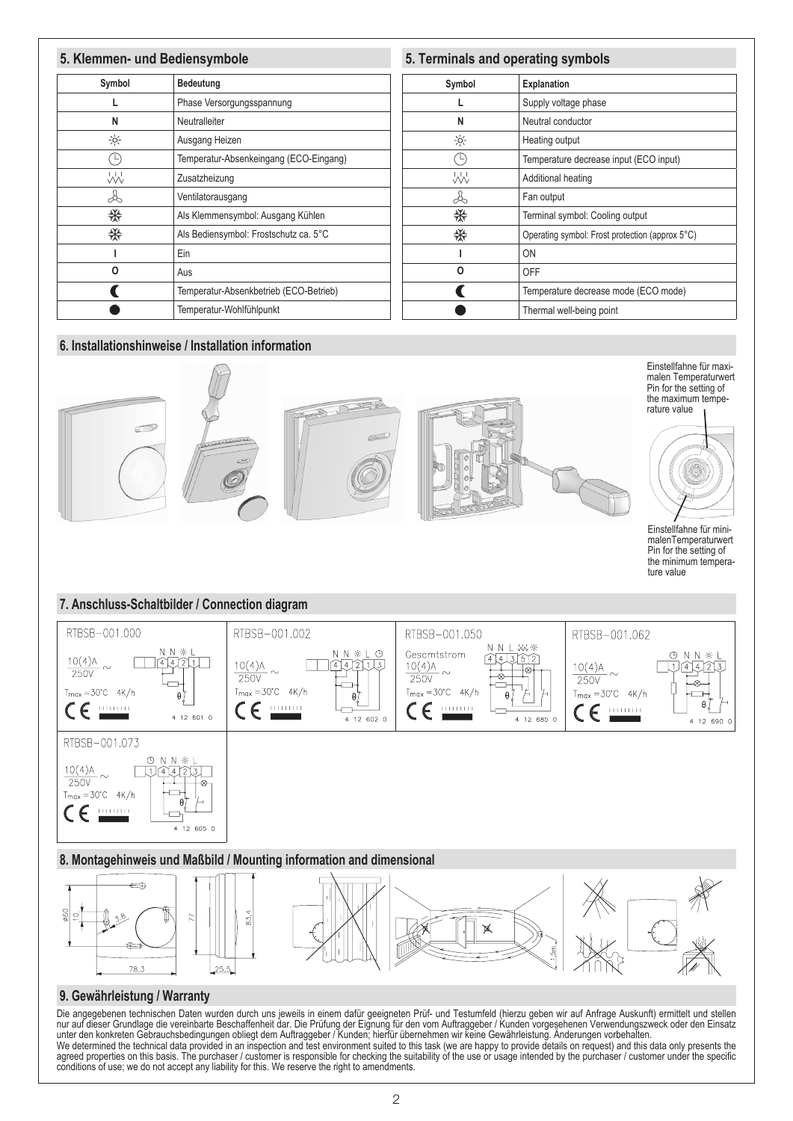#### **5. Klemmen- und Bediensymbole 5. Terminals and operating symbols Symbol Bedeutung Symbol Explanation** L Phase Versorgungsspannung L Supply voltage phase **N** Neutralleiter **N** Neutral conductor  $-0^{-1}$  $\frac{1}{2}$ Ausgang Heizen Heating output  $\overline{(\cap)}$  $\overline{\circlearrowright}$ Temperatur-Absenkeingang (ECO-Eingang) Temperature decrease input (ECO input) W W Zusatzheizung Additional heating Å, Is Ventilatorausgang Fan output 榮 楽 Als Klemmensymbol: Ausgang Kühlen Terminal symbol: Cooling output ₩ 業 Als Bediensymbol: Frostschutz ca. 5°C Operating symbol: Frost protection (approx 5°C) **I** Ein **I** ON **O** Aus **O** OFF  $\blacklozenge$ Temperatur-Absenkbetrieb (ECO-Betrieb)  $\blacklozenge$ Temperature decrease mode (ECO mode) Temperatur-Wohlfühlpunkt Thermal well-being point $\bullet$  $\bullet$





Die angegebenen technischen Daten wurden durch uns jeweils in einem dafür geeigneten Prüf- und Testumfeld (hierzu geben wir auf Anfrage Auskunft) ermittelt und stellen nur auf dieser Grundlage die vereinbarte Beschaffenheit dar. Die Prüfung der Eignung für den vom Auftraggeber / Kunden vorgesehenen Verwendungszweck oder den Einsatz unter den konkreten Gebrauchsbedingungen obliegt dem Auftraggeber / Kunden; hierfür übernehmen wir keine Gewährleistung. Änderungen vorbehalten. We determined the technical data provided in an inspection and test environment suited to this task (we are happy to provide details on request) and this data only presents the agreed properties on this basis. The purchaser / customer is responsible for checking the suitability of the use or usage intended by the purchaser / customer under the specific conditions of use; we do not accept any liability for this. We reserve the right to amendments.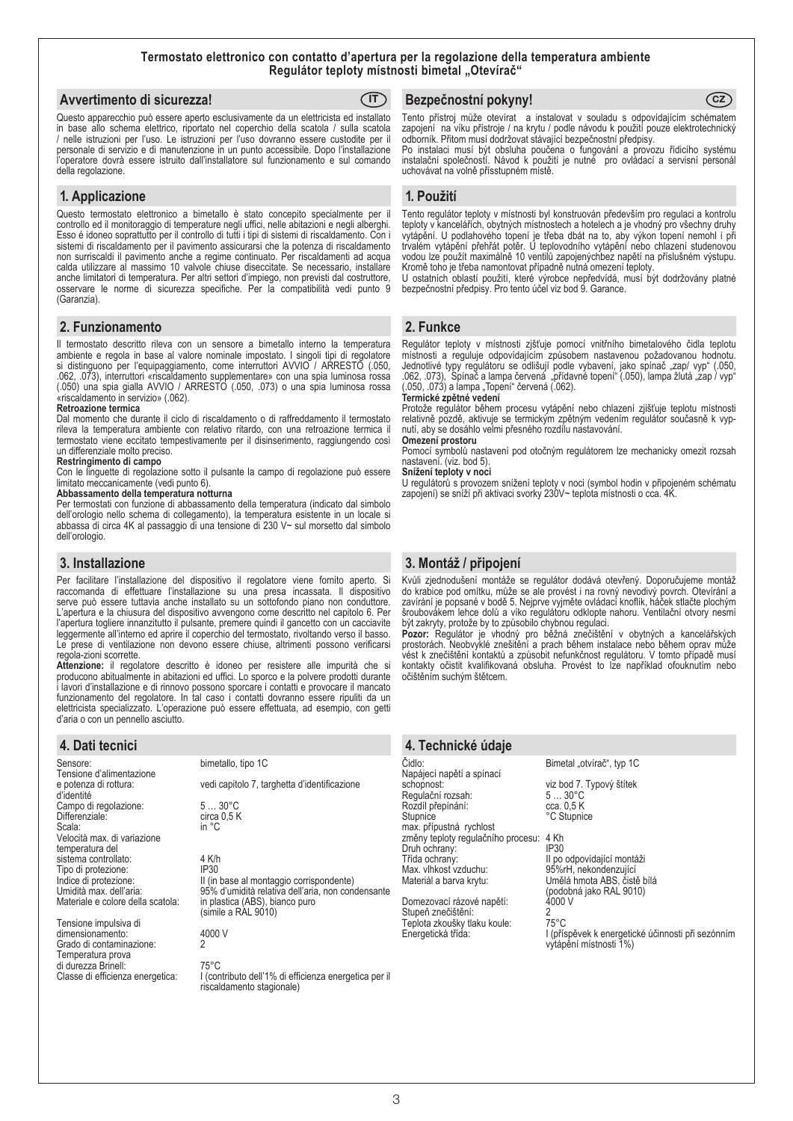#### **Termostato elettronico con contatto d'apertura per la regolazione della temperatura ambiente Regulátor teploty místnosti bimetal "Otevírač"**

| Avvertimento di sicurezza!                                                                                                                                                                                                                                                                   | (IT) Bezpečnostní pokyny! | (cz) |
|----------------------------------------------------------------------------------------------------------------------------------------------------------------------------------------------------------------------------------------------------------------------------------------------|---------------------------|------|
| Questo apparecchio può essere aperto esclusivamente da un elettricista ed installato Tento přístroj může otevírat a instalovat v souladu s odpovídajícím schématem                                                                                                                           |                           |      |
| in base allo schema elettrico, riportato nel coperchio della scatola / sulla scatola zapojení na víku přístroje / na krytu / podle návodu k použití pouze elektrotechnický<br>a complete esta completa esta completa construcción arabe com tomados menos distintas arabe seste conselección |                           |      |

/ nelle istruzioni per l'uso. Le istruzioni per l'uso dovranno essere custodite per il personale di servizio e di manutenzione in un punto accessibile. Dopo l'installazione l'operatore dovrà essere istruito dall'installatore sul funzionamento e sul comando della regolazione.

#### **1. Applicazione**

Questo termostato elettronico a bimetallo è stato concepito specialmente per il controllo ed il monitoraggio di temperature negli uffici, nelle abitazioni e negli alberghi. Esso é idoneo soprattutto per il controllo di tutti i tipi di sistemi di riscaldamento. Con i sistemi di riscaldamento per il pavimento assicurarsi che la potenza di riscaldamento non surriscaldi il pavimento anche a regime continuato. Per riscaldamenti ad acqua calda utilizzare al massimo 10 valvole chiuse diseccitate. Se necessario, installare anche limitatori di temperatura. Per altri settori d'impiego, non previsti dal costruttore, osservare le norme di sicurezza specifiche. Per la compatibilità vedi punto 9 (Garanzia).

#### **2. Funzionamento**

Il termostato descritto rileva con un sensore a bimetallo interno la temperatura ambiente e regola in base al valore nominale impostato. I singoli tipi di regolatore si distinguono per l'equipaggiamento, come interruttori AVVIO / ARRESTO (.050, .062, .073), interruttori «riscaldamento supplementare» con una spia luminosa rossa (.050) una spia gialla AVVIO / ARRESTO (.050, .073) o una spia luminosa rossa «riscaldamento in servizio» (.062).

#### **Retroazione termica**

Dal momento che durante il ciclo di riscaldamento o di raffreddamento il termostato rileva la temperatura ambiente con relativo ritardo, con una retroazione termica il termostato viene eccitato tempestivamente per il disinserimento, raggiungendo così un differenziale molto preciso.

#### **Restringimento di campo**

Con le linguette di regolazione sotto il pulsante la campo di regolazione può essere limitato meccanicamente (vedi punto 6).

#### **Abbassamento della temperatura notturna**

Per termostati con funzione di abbassamento della temperatura (indicato dal simbolo dell'orologio nello schema di collegamento), la temperatura esistente in un locale si abbassa di circa 4K al passaggio di una tensione di 230 V~ sul morsetto dal simbolo dell'orologio.

#### **3. Installazione**

Per facilitare l'installazione del dispositivo il regolatore viene fornito aperto. Si raccomanda di effettuare l'installazione su una presa incassata. Il dispositivo serve può essere tuttavia anche installato su un sottofondo piano non conduttore. L'apertura e la chiusura del dispositivo avvengono come descritto nel capitolo 6. Per l'apertura togliere innanzitutto il pulsante, premere quindi il gancetto con un cacciavite leggermente all'interno ed aprire il coperchio del termostato, rivoltando verso il basso. Le prese di ventilazione non devono essere chiuse, altrimenti possono verificarsi regola-zioni scorrette.

**Attenzione:** il regolatore descritto è idoneo per resistere alle impurità che si producono abitualmente in abitazioni ed uffici. Lo sporco e la polvere prodotti durante i lavori d'installazione e di rinnovo possono sporcare i contatti e provocare il mancato funzionamento del regolatore. In tal caso i contatti dovranno essere ripuliti da un elettricista specializzato. L'operazione può essere effettuata, ad esempio, con getti d'aria o con un pennello asciutto.

#### **4. Dati tecnici**

Sensore: bimetallo, tipo 1C Tensione d'alimentazione<br>e potenza di rottura: d'identité Campo di regolazione: 5 ... 30°C<br>Differenziale: circa 0.5 k Differenziale: circa 0,5 K<br>Scala: circa 0,5 K Scala: in °C Velocità max. di variazione temperatura del sistema controllato: 4 K/h<br>Tipo di protezione: 1P30 Tipo di protezione:<br>Indice di protezione:

Tensione impulsiva di dimensionamento: 4000 V<br>Grado di contaminazione: 2 Grado di contaminazione: Temperatura prova di durezza Brinell: 75°C<br>Classe di efficienza energetica: 1 (con

vedi capitolo 7, targhetta d'identificazione Indice di protezione: II (in base al montaggio corrispondente) Umidità max. dell'aria: 95% d'umidità relativa dell'aria, non condensante Materiale e colore del colore della scatto della scatta scatto della scatta scatta scatto della scatta della scatta (simile a RAL 9010)

> I (contributo dell'1% di efficienza energetica per il riscaldamento stagionale)

odborník. Přitom musí dodržovat stávající bezpečnostní předpisy.

Po instalaci musí být obsluha poučena o fungování a provozu řídicího systému instalační společností. Návod k použití je nutné pro ovládací a servisní personál uchovávat na volně přísstupném místě.

#### **1. Použití**

Tento regulátor teploty v místnosti byl konstruován především pro regulaci a kontrolu teploty v kancelářích, obytných místnostech a hotelech a je vhodný pro všechny druhy vytápění. U podlahového topení je třeba dbát na to, aby výkon topení nemohl i při trvalém vytápění přehřát potěr. U teplovodního vytápění nebo chlazení studenovou vodou lze použít maximálně 10 ventilů zapojenýchbez napětí na příslušném výstupu. Kromě toho je třeba namontovat případně nutná omezení teploty.

U ostatních oblastí použití, které výrobce nepředvídá, musí být dodržovány platné bezpečnostní předpisy. Pro tento účel viz bod 9. Garance.

#### **2. Funkce**

Regulátor teploty v místnosti zjšťuje pomocí vnitřního bimetalového čidla teplotu místnosti a reguluje odpovídajícím způsobem nastavenou požadovanou hodnotu. Jednotlivé typy regulátoru se odlišují podle vybavení, jako spínač "zap/ vyp" (.050, .062, .073), Spínač a lampa červená "přídavné topení" (.050), lampa žlutá "zap / vyp" (.050, .073) a lampa "Topení" červená (.062).

#### **Termické zpětné vedení**

Protože regulátor během procesu vytápění nebo chlazení zjišťuje teplotu místnosti relativně pozdě, aktivuje se termickým zpětným vedením regulátor současně k vypnutí, aby se dosáhlo velmi přesného rozdílu nastavování.

#### **Omezení prostoru**

Pomocí symbolů nastavení pod otočným regulátorem lze mechanicky omezit rozsah nastavení. (viz. bod 5).

#### **Snížení teploty v noci**

U regulátorů s provozem snížení teploty v noci (symbol hodin v připojeném schématu zapojení) se sníží při aktivaci svorky 230V~ teplota místnosti o cca. 4K.

### **3. Montáž / připojení**

Kvůli zjednodušení montáže se regulátor dodává otevřený. Doporučujeme montáž do krabice pod omítku, může se ale provést i na rovný nevodivý povrch. Otevírání a zavírání je popsané v bodě 5. Nejprve vyjměte ovládací knoflík, háček stlačte plochým šroubovákem lehce dolů a víko regulátoru odklopte nahoru. Ventilační otvory nesmí být zakryty, protože by to způsobilo chybnou regulaci.

**Pozor:** Regulátor je vhodný pro běžná znečištění v obytných a kancelářských prostorách. Neobvyklé znešitění a prach během instalace nebo během oprav může vést k znečištění kontaktů a způsobit nefunkčnost regulátoru. V tomto případě musí kontakty očistit kvalifikovaná obsluha. Provést to lze například ofouknutím nebo očištěním suchým štětcem.

# **4. Technické údaje**

Napájecí napětí a spínací Regulační rozsah: 5 ... 30°C<br>Rozdíl přepínání: cca. 0,5 K Rozdíl přepínání:<br>Stupnice max. přípustná rychlost změny teploty regulačního procesu: 4 Kh<br>Druh ochrany: [P30] Druh ochrany:<br>Třída ochrany Třída ochrany: II po odpovídající montáži Max. vlhkost vzduchu: 95%rH, nekondenzující<br>Materiál a barva krytu: Umělá hmota ABS, čisti

Domezovací rázové napětí: Stupeň znečištění: 2<br>Stupeň znečištění: 2<br>Tenlota zkoušky tlaku koule: 275°C Teplota zkoušky tlaku koule:<br>Teplota zkoušky tlaku koule:<br>Energetická třída:

Čidlo: Bimetal "otvírač", typ 1C

viz bod 7. Typový štítek<br>5 ... 30°C °C Stupnice

Umělá hmota ABS, čistě bílá (podobná jako RAL 9010) I (příspěvek k energetické účinnosti při sezónním vytápění místnosti 1%)